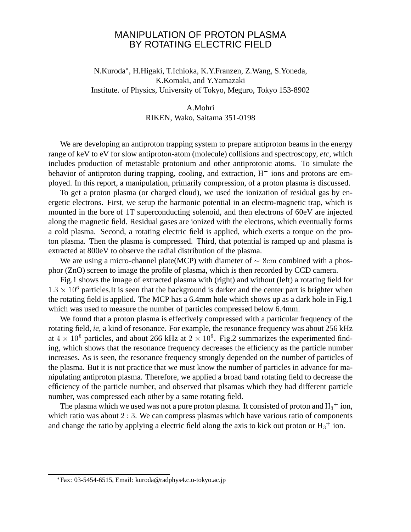## MANIPULATION OF PROTON PLASMA BY ROTATING ELECTRIC FIELD

N.Kuroda , H.Higaki, T.Ichioka, K.Y.Franzen, Z.Wang, S.Yoneda, K.Komaki, and Y.Yamazaki Institute. of Physics, University of Tokyo, Meguro, Tokyo 153-8902

## A.Mohri RIKEN, Wako, Saitama 351-0198

We are developing an antiproton trapping system to prepare antiproton beams in the energy range of keV to eV for slow antiproton-atom (molecule) collisions and spectroscopy, *etc*, which includes production of metastable protonium and other antiprotonic atoms. To simulate the behavior of antiproton during trapping, cooling, and extraction,  $H^-$  ions and protons are employed. In this report, a manipulation, primarily compression, of a proton plasma is discussed.

To get a proton plasma (or charged cloud), we used the ionization of residual gas by energetic electrons. First, we setup the harmonic potential in an electro-magnetic trap, which is mounted in the bore of 1T superconducting solenoid, and then electrons of 60eV are injected along the magnetic field. Residual gases are ionized with the electrons, which eventually forms a cold plasma. Second, a rotating electric field is applied, which exerts a torque on the proton plasma. Then the plasma is compressed. Third, that potential is ramped up and plasma is extracted at 800eV to observe the radial distribution of the plasma.

We are using a micro-channel plate(MCP) with diameter of  $\sim$  8cm combined with a phosphor (ZnO) screen to image the profile of plasma, which is then recorded by CCD camera.

Fig.1 shows the image of extracted plasma with (right) and without (left) a rotating field for  $1.3 \times 10^6$  particles. It is seen that the background is darker and the center part is brighter when the rotating field is applied. The MCP has a 6.4mm hole which shows up as a dark hole in Fig.1 which was used to measure the number of particles compressed below 6.4mm.

We found that a proton plasma is effectively compressed with a particular frequency of the rotating field, *ie*, a kind of resonance. For example, the resonance frequency was about 256 kHz at  $4 \times 10^6$  particles, and about 266 kHz at  $2 \times 10^6$ . Fig.2 summarizes the experimented finding, which shows that the resonance frequency decreases the efficiency as the particle number increases. As is seen, the resonance frequency strongly depended on the number of particles of the plasma. But it is not practice that we must know the number of particles in advance for manipulating antiproton plasma. Therefore, we applied a broad band rotating field to decrease the efficiency of the particle number, and observed that plsamas which they had different particle number, was compressed each other by a same rotating field.

The plasma which we used was not a pure proton plasma. It consisted of proton and  $H_3^+$  ion, which ratio was about 2:3. We can compress plasmas which have various ratio of components and change the ratio by applying a electric field along the axis to kick out proton or  $H_3^+$  ion.

Fax: 03-5454-6515, Email: kuroda@radphys4.c.u-tokyo.ac.jp